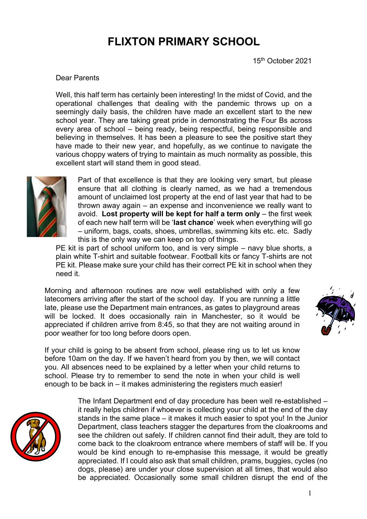# **FLIXTON PRIMARY SCHOOL**

15th October 2021

### Dear Parents

Well, this half term has certainly been interesting! In the midst of Covid, and the operational challenges that dealing with the pandemic throws up on a seemingly daily basis, the children have made an excellent start to the new school year. They are taking great pride in demonstrating the Four Bs across every area of school – being ready, being respectful, being responsible and believing in themselves. It has been a pleasure to see the positive start they have made to their new year, and hopefully, as we continue to navigate the various choppy waters of trying to maintain as much normality as possible, this excellent start will stand them in good stead.



Part of that excellence is that they are looking very smart, but please ensure that all clothing is clearly named, as we had a tremendous amount of unclaimed lost property at the end of last year that had to be thrown away again – an expense and inconvenience we really want to avoid. **Lost property will be kept for half a term only** – the first week of each new half term will be '**last chance**' week when everything will go – uniform, bags, coats, shoes, umbrellas, swimming kits etc. etc. Sadly this is the only way we can keep on top of things.

PE kit is part of school uniform too, and is very simple – navy blue shorts, a plain white T-shirt and suitable footwear. Football kits or fancy T-shirts are not PE kit. Please make sure your child has their correct PE kit in school when they need it.

Morning and afternoon routines are now well established with only a few latecomers arriving after the start of the school day. If you are running a little late, please use the Department main entrances, as gates to playground areas will be locked. It does occasionally rain in Manchester, so it would be appreciated if children arrive from 8:45, so that they are not waiting around in poor weather for too long before doors open.



If your child is going to be absent from school, please ring us to let us know before 10am on the day. If we haven't heard from you by then, we will contact you. All absences need to be explained by a letter when your child returns to school. Please try to remember to send the note in when your child is well enough to be back in – it makes administering the registers much easier!



The Infant Department end of day procedure has been well re-established – it really helps children if whoever is collecting your child at the end of the day stands in the same place – it makes it much easier to spot you! In the Junior Department, class teachers stagger the departures from the cloakrooms and see the children out safely. If children cannot find their adult, they are told to come back to the cloakroom entrance where members of staff will be. If you would be kind enough to re-emphasise this message, it would be greatly appreciated. If I could also ask that small children, prams, buggies, cycles (no dogs, please) are under your close supervision at all times, that would also be appreciated. Occasionally some small children disrupt the end of the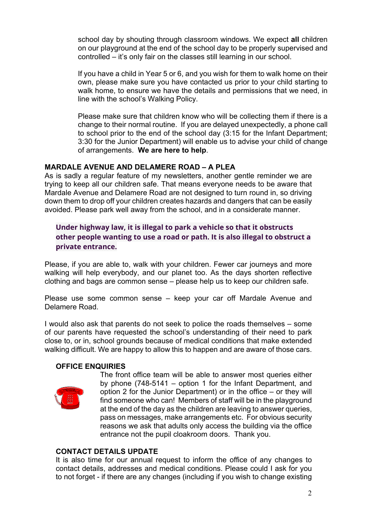school day by shouting through classroom windows. We expect **all** children on our playground at the end of the school day to be properly supervised and controlled – it's only fair on the classes still learning in our school.

If you have a child in Year 5 or 6, and you wish for them to walk home on their own, please make sure you have contacted us prior to your child starting to walk home, to ensure we have the details and permissions that we need, in line with the school's Walking Policy.

Please make sure that children know who will be collecting them if there is a change to their normal routine. If you are delayed unexpectedly, a phone call to school prior to the end of the school day (3:15 for the Infant Department; 3:30 for the Junior Department) will enable us to advise your child of change of arrangements. **We are here to help**.

# **MARDALE AVENUE AND DELAMERE ROAD – A PLEA**

As is sadly a regular feature of my newsletters, another gentle reminder we are trying to keep all our children safe. That means everyone needs to be aware that Mardale Avenue and Delamere Road are not designed to turn round in, so driving down them to drop off your children creates hazards and dangers that can be easily avoided. Please park well away from the school, and in a considerate manner.

# **Under highway law, it is illegal to park a vehicle so that it obstructs other people wanting to use a road or path. It is also illegal to obstruct a private entrance.**

Please, if you are able to, walk with your children. Fewer car journeys and more walking will help everybody, and our planet too. As the days shorten reflective clothing and bags are common sense – please help us to keep our children safe.

Please use some common sense – keep your car off Mardale Avenue and Delamere Road.

I would also ask that parents do not seek to police the roads themselves – some of our parents have requested the school's understanding of their need to park close to, or in, school grounds because of medical conditions that make extended walking difficult. We are happy to allow this to happen and are aware of those cars.

# **OFFICE ENQUIRIES**



The front office team will be able to answer most queries either by phone (748-5141 – option 1 for the Infant Department, and option 2 for the Junior Department) or in the office – or they will find someone who can! Members of staff will be in the playground at the end of the day as the children are leaving to answer queries, pass on messages, make arrangements etc. For obvious security reasons we ask that adults only access the building via the office entrance not the pupil cloakroom doors. Thank you.

# **CONTACT DETAILS UPDATE**

It is also time for our annual request to inform the office of any changes to contact details, addresses and medical conditions. Please could I ask for you to not forget - if there are any changes (including if you wish to change existing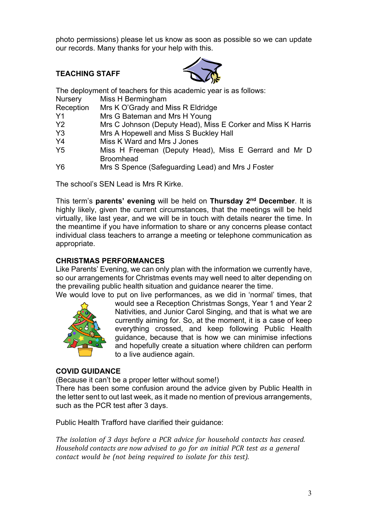photo permissions) please let us know as soon as possible so we can update our records. Many thanks for your help with this.

## **TEACHING STAFF**



The deployment of teachers for this academic year is as follows:

- Nursery Miss H Bermingham
- Reception Mrs K O'Grady and Miss R Eldridge
- Y1 Mrs G Bateman and Mrs H Young
- Y2 Mrs C Johnson (Deputy Head), Miss E Corker and Miss K Harris
- Y3 Mrs A Hopewell and Miss S Buckley Hall
- Y4 Miss K Ward and Mrs J Jones
- Y5 Miss H Freeman (Deputy Head), Miss E Gerrard and Mr D Broomhead
- Y6 Mrs S Spence (Safeguarding Lead) and Mrs J Foster

The school's SEN Lead is Mrs R Kirke.

This term's **parents' evening** will be held on **Thursday 2nd December**. It is highly likely, given the current circumstances, that the meetings will be held virtually, like last year, and we will be in touch with details nearer the time. In the meantime if you have information to share or any concerns please contact individual class teachers to arrange a meeting or telephone communication as appropriate.

# **CHRISTMAS PERFORMANCES**

Like Parents' Evening, we can only plan with the information we currently have, so our arrangements for Christmas events may well need to alter depending on the prevailing public health situation and guidance nearer the time.



We would love to put on live performances, as we did in 'normal' times, that would see a Reception Christmas Songs, Year 1 and Year 2 Nativities, and Junior Carol Singing, and that is what we are currently aiming for. So, at the moment, it is a case of keep everything crossed, and keep following Public Health guidance, because that is how we can minimise infections and hopefully create a situation where children can perform to a live audience again.

# **COVID GUIDANCE**

(Because it can't be a proper letter without some!)

There has been some confusion around the advice given by Public Health in the letter sent to out last week, as it made no mention of previous arrangements, such as the PCR test after 3 days.

Public Health Trafford have clarified their guidance:

*The isolation of 3 days before a PCR advice for household contacts has ceased. Household contacts are now advised to go for an initial PCR test as a general contact would be (not being required to isolate for this test).*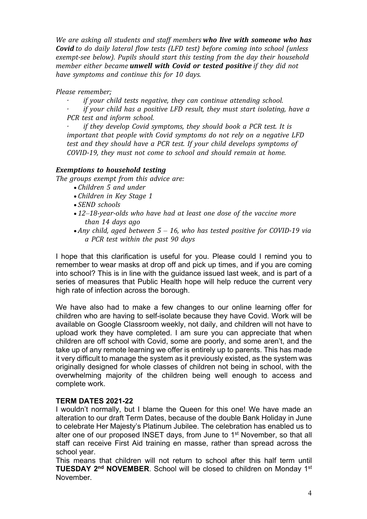*We are asking all students and staff members who live with someone who has Covid to do daily lateral flow tests (LFD test) before coming into school (unless exempt-see below). Pupils should start this testing from the day their household member either became unwell with Covid or tested positive if they did not have symptoms and continue this for 10 days.*

*Please remember;*

*if* your child tests negative, they can continue attending school. *if* your child has a positive LFD result, they must start *isolating, have a PCR test and inform school.*

*if they develop Covid symptoms, they should book a PCR test. It is important that people with Covid symptoms do not rely on a negative LFD test and they should have a PCR test. If your child develops symptoms of COVID-19, they must not come to school and should remain at home.*

## *Exemptions to household testing*

*The groups exempt from this advice are:*

- *Children 5 and under*
- *Children in Key Stage 1*
- *SEND schools*
- *12–18-year-olds who have had at least one dose of the vaccine more than 14 days ago*
- *Any child, aged between 5 – 16, who has tested positive for COVID-19 via a PCR test within the past 90 days*

I hope that this clarification is useful for you. Please could I remind you to remember to wear masks at drop off and pick up times, and if you are coming into school? This is in line with the guidance issued last week, and is part of a series of measures that Public Health hope will help reduce the current very high rate of infection across the borough.

We have also had to make a few changes to our online learning offer for children who are having to self-isolate because they have Covid. Work will be available on Google Classroom weekly, not daily, and children will not have to upload work they have completed. I am sure you can appreciate that when children are off school with Covid, some are poorly, and some aren't, and the take up of any remote learning we offer is entirely up to parents. This has made it very difficult to manage the system as it previously existed, as the system was originally designed for whole classes of children not being in school, with the overwhelming majority of the children being well enough to access and complete work.

### **TERM DATES 2021-22**

I wouldn't normally, but I blame the Queen for this one! We have made an alteration to our draft Term Dates, because of the double Bank Holiday in June to celebrate Her Majesty's Platinum Jubilee. The celebration has enabled us to alter one of our proposed INSET days, from June to 1st November, so that all staff can receive First Aid training en masse, rather than spread across the school year.

This means that children will not return to school after this half term until **TUESDAY 2<sup>nd</sup> NOVEMBER**. School will be closed to children on Monday 1<sup>st</sup> November.